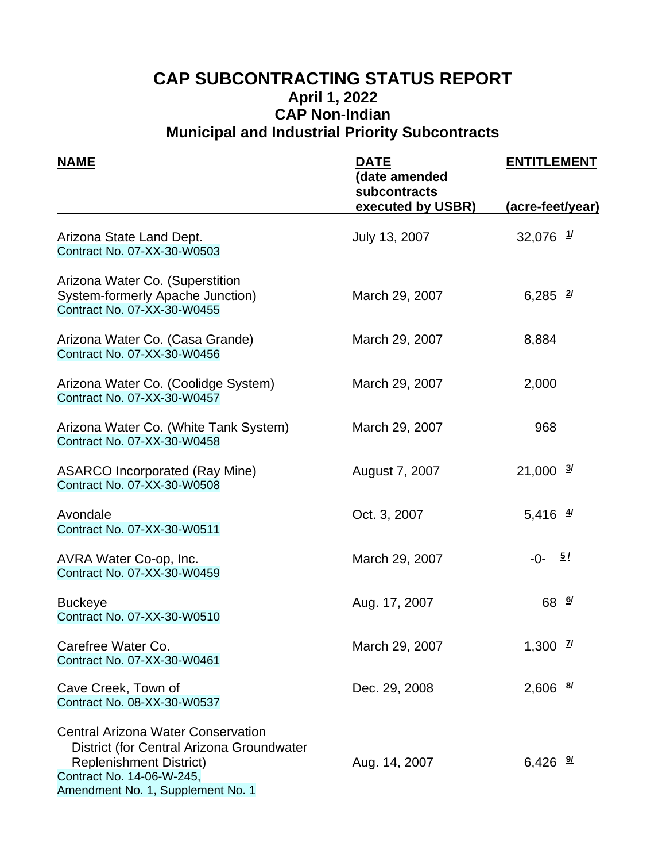# **CAP SUBCONTRACTING STATUS REPORT April 1, 2022 CAP Non**-**Indian Municipal and Industrial Priority Subcontracts**

| <b>NAME</b>                                                                                                                                                                                | <u>DATE</u><br>(date amended<br>subcontracts | <b>ENTITLEMENT</b>     |  |
|--------------------------------------------------------------------------------------------------------------------------------------------------------------------------------------------|----------------------------------------------|------------------------|--|
|                                                                                                                                                                                            | executed by USBR)                            | (acre-feet/year)       |  |
| Arizona State Land Dept.<br>Contract No. 07-XX-30-W0503                                                                                                                                    | July 13, 2007                                | $32,076$ $1/$          |  |
| Arizona Water Co. (Superstition<br>System-formerly Apache Junction)<br>Contract No. 07-XX-30-W0455                                                                                         | March 29, 2007                               | 6,285 $\frac{2}{3}$    |  |
| Arizona Water Co. (Casa Grande)<br>Contract No. 07-XX-30-W0456                                                                                                                             | March 29, 2007                               | 8,884                  |  |
| Arizona Water Co. (Coolidge System)<br>Contract No. 07-XX-30-W0457                                                                                                                         | March 29, 2007                               | 2,000                  |  |
| Arizona Water Co. (White Tank System)<br>Contract No. 07-XX-30-W0458                                                                                                                       | March 29, 2007                               | 968                    |  |
| <b>ASARCO Incorporated (Ray Mine)</b><br>Contract No. 07-XX-30-W0508                                                                                                                       | August 7, 2007                               | $21,000 \frac{3}{2}$   |  |
| Avondale<br>Contract No. 07-XX-30-W0511                                                                                                                                                    | Oct. 3, 2007                                 | 5,416 $\frac{4}{3}$    |  |
| AVRA Water Co-op, Inc.<br>Contract No. 07-XX-30-W0459                                                                                                                                      | March 29, 2007                               | 5/<br>$-0-$            |  |
| <b>Buckeye</b><br>Contract No. 07-XX-30-W0510                                                                                                                                              | Aug. 17, 2007                                | 68 6/                  |  |
| Carefree Water Co.<br>Contract No. 07-XX-30-W0461                                                                                                                                          | March 29, 2007                               | 1,300 $\frac{7}{1}$    |  |
| Cave Creek, Town of<br>Contract No. 08-XX-30-W0537                                                                                                                                         | Dec. 29, 2008                                | $2,606$ $\frac{81}{2}$ |  |
| <b>Central Arizona Water Conservation</b><br>District (for Central Arizona Groundwater<br><b>Replenishment District)</b><br>Contract No. 14-06-W-245,<br>Amendment No. 1, Supplement No. 1 | Aug. 14, 2007                                | 6,426 $\frac{9}{2}$    |  |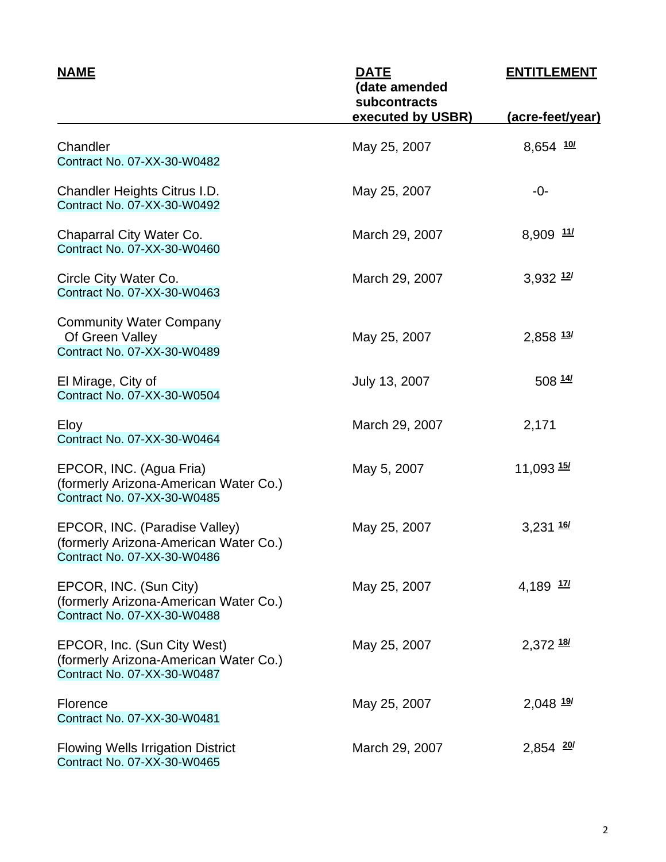| <u>NAME</u>                                                                                           | <u>DATE</u><br>(date amended<br>subcontracts | <b>ENTITLEMENT</b>      |  |
|-------------------------------------------------------------------------------------------------------|----------------------------------------------|-------------------------|--|
|                                                                                                       | executed by USBR)                            | (acre-feet/year)        |  |
| Chandler<br>Contract No. 07-XX-30-W0482                                                               | May 25, 2007                                 | 8,654 10/               |  |
| Chandler Heights Citrus I.D.<br>Contract No. 07-XX-30-W0492                                           | May 25, 2007                                 | -0-                     |  |
| Chaparral City Water Co.<br>Contract No. 07-XX-30-W0460                                               | March 29, 2007                               | $8,909$ $11/$           |  |
| Circle City Water Co.<br>Contract No. 07-XX-30-W0463                                                  | March 29, 2007                               | 3,932 12/               |  |
| <b>Community Water Company</b><br>Of Green Valley<br>Contract No. 07-XX-30-W0489                      | May 25, 2007                                 | $2,858$ $13/$           |  |
| El Mirage, City of<br>Contract No. 07-XX-30-W0504                                                     | July 13, 2007                                | 508 14/                 |  |
| Eloy<br>Contract No. 07-XX-30-W0464                                                                   | March 29, 2007                               | 2,171                   |  |
| EPCOR, INC. (Agua Fria)<br>(formerly Arizona-American Water Co.)<br>Contract No. 07-XX-30-W0485       | May 5, 2007                                  | 11,093 15/              |  |
| EPCOR, INC. (Paradise Valley)<br>(formerly Arizona-American Water Co.)<br>Contract No. 07-XX-30-W0486 | May 25, 2007                                 | $3,231$ $16/$           |  |
| EPCOR, INC. (Sun City)<br>(formerly Arizona-American Water Co.)<br>Contract No. 07-XX-30-W0488        | May 25, 2007                                 | 4,189 17/               |  |
| EPCOR, Inc. (Sun City West)<br>(formerly Arizona-American Water Co.)<br>Contract No. 07-XX-30-W0487   | May 25, 2007                                 | $2,372$ $18/$           |  |
| Florence<br>Contract No. 07-XX-30-W0481                                                               | May 25, 2007                                 | $2,048$ $\frac{197}{2}$ |  |
| <b>Flowing Wells Irrigation District</b><br>Contract No. 07-XX-30-W0465                               | March 29, 2007                               | $2,854$ 20/             |  |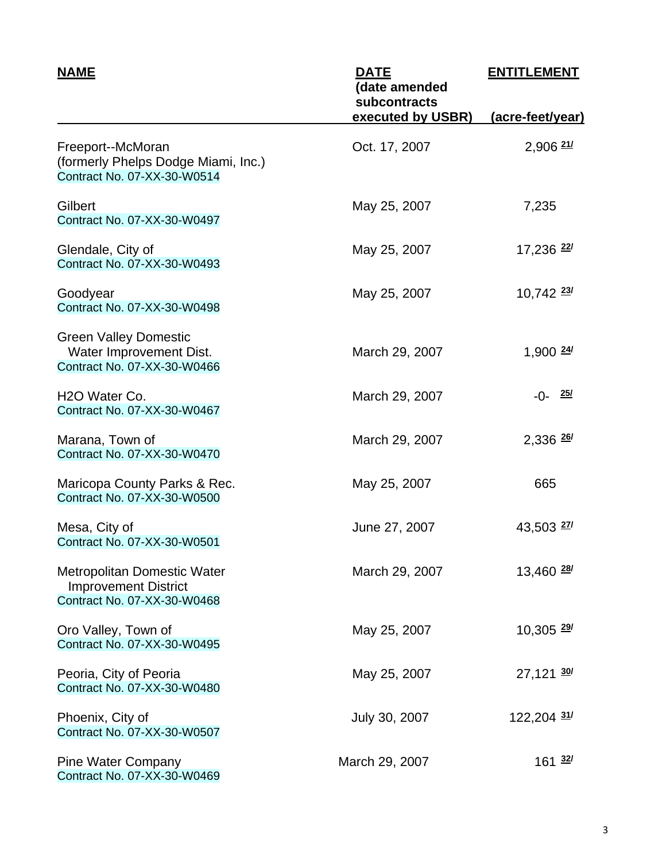| <b>NAME</b>                                                                                      | <b>DATE</b><br>(date amended<br>subcontracts | <b>ENTITLEMENT</b>      |  |
|--------------------------------------------------------------------------------------------------|----------------------------------------------|-------------------------|--|
|                                                                                                  | executed by USBR)                            | <u>(acre-feet/year)</u> |  |
| Freeport--McMoran<br>(formerly Phelps Dodge Miami, Inc.)<br>Contract No. 07-XX-30-W0514          | Oct. 17, 2007                                | $2,906$ $21/$           |  |
| Gilbert<br>Contract No. 07-XX-30-W0497                                                           | May 25, 2007                                 | 7,235                   |  |
| Glendale, City of<br>Contract No. 07-XX-30-W0493                                                 | May 25, 2007                                 | 17,236 <sup>22/</sup>   |  |
| Goodyear<br>Contract No. 07-XX-30-W0498                                                          | May 25, 2007                                 | $10,742$ $\frac{23}{1}$ |  |
| <b>Green Valley Domestic</b><br>Water Improvement Dist.<br>Contract No. 07-XX-30-W0466           | March 29, 2007                               | $1,900$ $\frac{24}{3}$  |  |
| H <sub>2</sub> O Water Co.<br>Contract No. 07-XX-30-W0467                                        | March 29, 2007                               | $-0 - \frac{25}{1}$     |  |
| Marana, Town of<br>Contract No. 07-XX-30-W0470                                                   | March 29, 2007                               | $2,336$ $\frac{26}{1}$  |  |
| Maricopa County Parks & Rec.<br>Contract No. 07-XX-30-W0500                                      | May 25, 2007                                 | 665                     |  |
| Mesa, City of<br>Contract No. 07-XX-30-W0501                                                     | June 27, 2007                                | $43,503$ $\frac{27}{1}$ |  |
| <b>Metropolitan Domestic Water</b><br><b>Improvement District</b><br>Contract No. 07-XX-30-W0468 | March 29, 2007                               | 13,460 <sup>28</sup>    |  |
| Oro Valley, Town of<br>Contract No. 07-XX-30-W0495                                               | May 25, 2007                                 | $10,305$ $\frac{29}{2}$ |  |
| Peoria, City of Peoria<br>Contract No. 07-XX-30-W0480                                            | May 25, 2007                                 | $27,121$ $30/$          |  |
| Phoenix, City of<br>Contract No. 07-XX-30-W0507                                                  | July 30, 2007                                | 122,204 31/             |  |
| <b>Pine Water Company</b><br>Contract No. 07-XX-30-W0469                                         | March 29, 2007                               | 161 <sup>32</sup>       |  |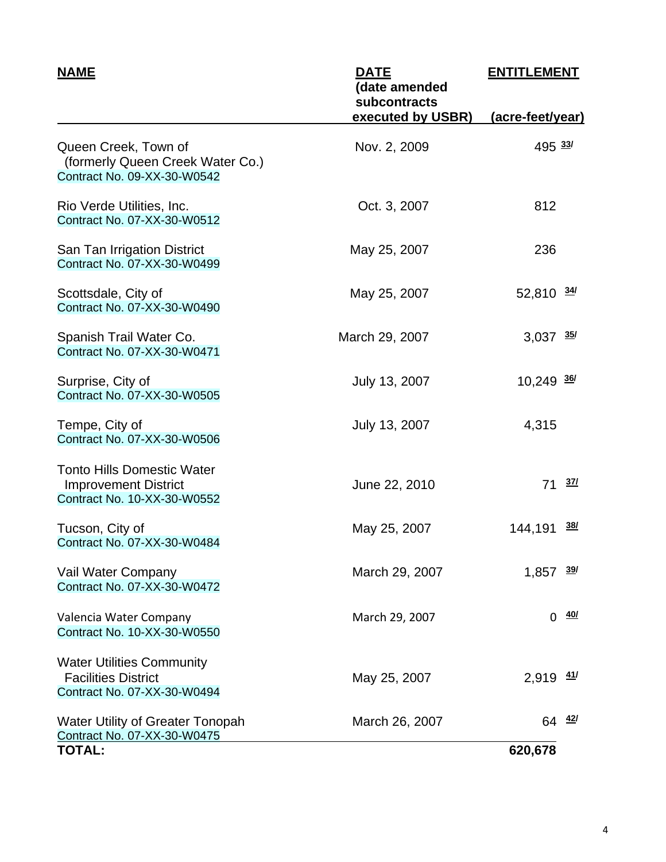| <b>NAME</b>                                                                                     | <b>DATE</b><br>(date amended<br>subcontracts | <b>ENTITLEMENT</b>      |  |
|-------------------------------------------------------------------------------------------------|----------------------------------------------|-------------------------|--|
|                                                                                                 | executed by USBR)                            | (acre-feet/year)        |  |
| Queen Creek, Town of<br>(formerly Queen Creek Water Co.)<br>Contract No. 09-XX-30-W0542         | Nov. 2, 2009                                 | 495 33/                 |  |
| Rio Verde Utilities, Inc.<br>Contract No. 07-XX-30-W0512                                        | Oct. 3, 2007                                 | 812                     |  |
| San Tan Irrigation District<br>Contract No. 07-XX-30-W0499                                      | May 25, 2007                                 | 236                     |  |
| Scottsdale, City of<br>Contract No. 07-XX-30-W0490                                              | May 25, 2007                                 | $52,810 \frac{34}{1}$   |  |
| Spanish Trail Water Co.<br>Contract No. 07-XX-30-W0471                                          | March 29, 2007                               | $3,037$ $35/$           |  |
| Surprise, City of<br>Contract No. 07-XX-30-W0505                                                | July 13, 2007                                | $10,249$ $\frac{36}{3}$ |  |
| Tempe, City of<br>Contract No. 07-XX-30-W0506                                                   | July 13, 2007                                | 4,315                   |  |
| <b>Tonto Hills Domestic Water</b><br><b>Improvement District</b><br>Contract No. 10-XX-30-W0552 | June 22, 2010                                | <u>37/</u><br>71        |  |
| Tucson, City of<br>Contract No. 07-XX-30-W0484                                                  | May 25, 2007                                 | <u>38/</u><br>144,191   |  |
| Vail Water Company<br>Contract No. 07-XX-30-W0472                                               | March 29, 2007                               | 1,857<br><u>39/</u>     |  |
| Valencia Water Company<br>Contract No. 10-XX-30-W0550                                           | March 29, 2007                               | <u>40/</u><br>0         |  |
| <b>Water Utilities Community</b><br><b>Facilities District</b><br>Contract No. 07-XX-30-W0494   | May 25, 2007                                 | <u>41/</u><br>2,919     |  |
| <b>Water Utility of Greater Tonopah</b><br>Contract No. 07-XX-30-W0475                          | March 26, 2007                               | $64 \frac{42}{ }$       |  |
| <b>TOTAL:</b>                                                                                   |                                              | 620,678                 |  |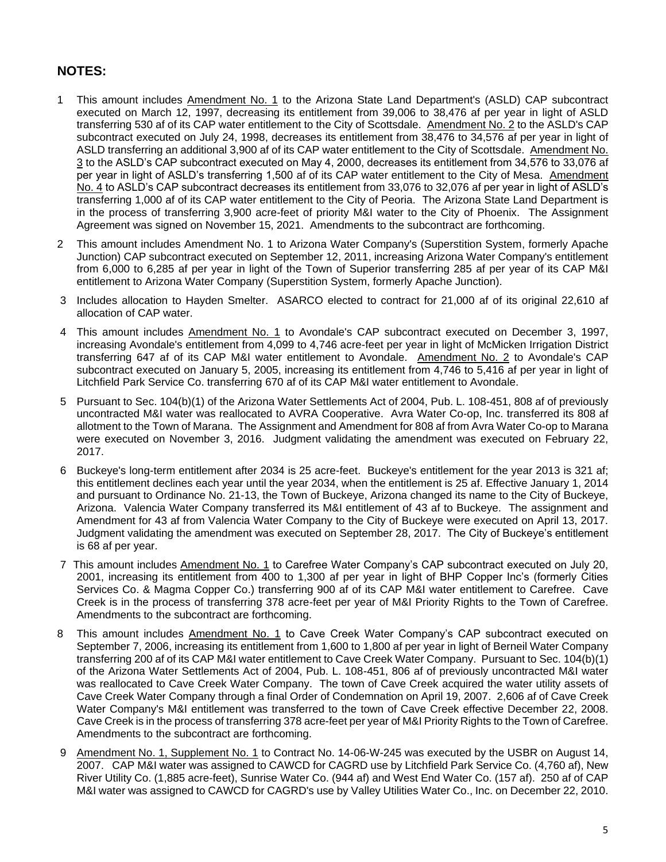- 1 This amount includes Amendment No. 1 to the Arizona State Land Department's (ASLD) CAP subcontract executed on March 12, 1997, decreasing its entitlement from 39,006 to 38,476 af per year in light of ASLD transferring 530 af of its CAP water entitlement to the City of Scottsdale. Amendment No. 2 to the ASLD's CAP subcontract executed on July 24, 1998, decreases its entitlement from 38,476 to 34,576 af per year in light of ASLD transferring an additional 3,900 af of its CAP water entitlement to the City of Scottsdale. Amendment No. 3 to the ASLD's CAP subcontract executed on May 4, 2000, decreases its entitlement from 34,576 to 33,076 af per year in light of ASLD's transferring 1,500 af of its CAP water entitlement to the City of Mesa. Amendment No. 4 to ASLD's CAP subcontract decreases its entitlement from 33,076 to 32,076 af per year in light of ASLD's transferring 1,000 af of its CAP water entitlement to the City of Peoria. The Arizona State Land Department is in the process of transferring 3,900 acre-feet of priority M&I water to the City of Phoenix. The Assignment Agreement was signed on November 15, 2021. Amendments to the subcontract are forthcoming.
- 2 This amount includes Amendment No. 1 to Arizona Water Company's (Superstition System, formerly Apache Junction) CAP subcontract executed on September 12, 2011, increasing Arizona Water Company's entitlement from 6,000 to 6,285 af per year in light of the Town of Superior transferring 285 af per year of its CAP M&I entitlement to Arizona Water Company (Superstition System, formerly Apache Junction).
- 3 Includes allocation to Hayden Smelter. ASARCO elected to contract for 21,000 af of its original 22,610 af allocation of CAP water.
- 4 This amount includes Amendment No. 1 to Avondale's CAP subcontract executed on December 3, 1997, increasing Avondale's entitlement from 4,099 to 4,746 acre-feet per year in light of McMicken Irrigation District transferring 647 af of its CAP M&I water entitlement to Avondale. Amendment No. 2 to Avondale's CAP subcontract executed on January 5, 2005, increasing its entitlement from 4,746 to 5,416 af per year in light of Litchfield Park Service Co. transferring 670 af of its CAP M&I water entitlement to Avondale.
- 5 Pursuant to Sec. 104(b)(1) of the Arizona Water Settlements Act of 2004, Pub. L. 108-451, 808 af of previously uncontracted M&I water was reallocated to AVRA Cooperative. Avra Water Co-op, Inc. transferred its 808 af allotment to the Town of Marana. The Assignment and Amendment for 808 af from Avra Water Co-op to Marana were executed on November 3, 2016. Judgment validating the amendment was executed on February 22, 2017.
- 6 Buckeye's long-term entitlement after 2034 is 25 acre-feet. Buckeye's entitlement for the year 2013 is 321 af; this entitlement declines each year until the year 2034, when the entitlement is 25 af. Effective January 1, 2014 and pursuant to Ordinance No. 21-13, the Town of Buckeye, Arizona changed its name to the City of Buckeye, Arizona. Valencia Water Company transferred its M&I entitlement of 43 af to Buckeye. The assignment and Amendment for 43 af from Valencia Water Company to the City of Buckeye were executed on April 13, 2017. Judgment validating the amendment was executed on September 28, 2017. The City of Buckeye's entitlement is 68 af per year.
- 7 This amount includes Amendment No. 1 to Carefree Water Company's CAP subcontract executed on July 20, 2001, increasing its entitlement from 400 to 1,300 af per year in light of BHP Copper Inc's (formerly Cities Services Co. & Magma Copper Co.) transferring 900 af of its CAP M&I water entitlement to Carefree. Cave Creek is in the process of transferring 378 acre-feet per year of M&I Priority Rights to the Town of Carefree. Amendments to the subcontract are forthcoming.
- 8 This amount includes Amendment No. 1 to Cave Creek Water Company's CAP subcontract executed on September 7, 2006, increasing its entitlement from 1,600 to 1,800 af per year in light of Berneil Water Company transferring 200 af of its CAP M&I water entitlement to Cave Creek Water Company. Pursuant to Sec. 104(b)(1) of the Arizona Water Settlements Act of 2004, Pub. L. 108-451, 806 af of previously uncontracted M&I water was reallocated to Cave Creek Water Company. The town of Cave Creek acquired the water utility assets of Cave Creek Water Company through a final Order of Condemnation on April 19, 2007. 2,606 af of Cave Creek Water Company's M&I entitlement was transferred to the town of Cave Creek effective December 22, 2008. Cave Creek is in the process of transferring 378 acre-feet per year of M&I Priority Rights to the Town of Carefree. Amendments to the subcontract are forthcoming.
- 9 Amendment No. 1, Supplement No. 1 to Contract No. 14-06-W-245 was executed by the USBR on August 14, 2007. CAP M&I water was assigned to CAWCD for CAGRD use by Litchfield Park Service Co. (4,760 af), New River Utility Co. (1,885 acre-feet), Sunrise Water Co. (944 af) and West End Water Co. (157 af). 250 af of CAP M&I water was assigned to CAWCD for CAGRD's use by Valley Utilities Water Co., Inc. on December 22, 2010.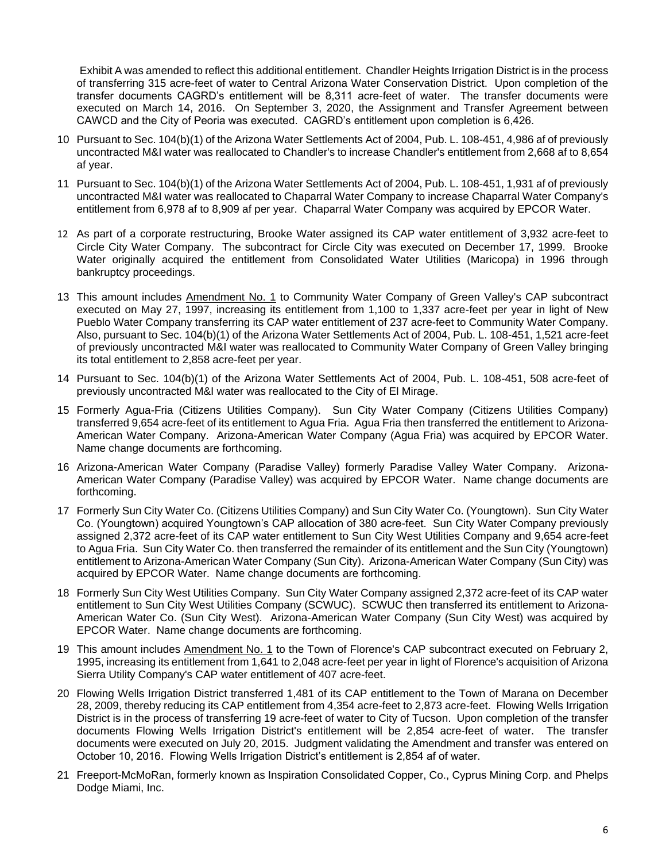Exhibit A was amended to reflect this additional entitlement. Chandler Heights Irrigation District is in the process of transferring 315 acre-feet of water to Central Arizona Water Conservation District. Upon completion of the transfer documents CAGRD's entitlement will be 8,311 acre-feet of water. The transfer documents were executed on March 14, 2016. On September 3, 2020, the Assignment and Transfer Agreement between CAWCD and the City of Peoria was executed. CAGRD's entitlement upon completion is 6,426.

- 10 Pursuant to Sec. 104(b)(1) of the Arizona Water Settlements Act of 2004, Pub. L. 108-451, 4,986 af of previously uncontracted M&I water was reallocated to Chandler's to increase Chandler's entitlement from 2,668 af to 8,654 af year.
- 11 Pursuant to Sec. 104(b)(1) of the Arizona Water Settlements Act of 2004, Pub. L. 108-451, 1,931 af of previously uncontracted M&I water was reallocated to Chaparral Water Company to increase Chaparral Water Company's entitlement from 6,978 af to 8,909 af per year. Chaparral Water Company was acquired by EPCOR Water.
- 12 As part of a corporate restructuring, Brooke Water assigned its CAP water entitlement of 3,932 acre-feet to Circle City Water Company. The subcontract for Circle City was executed on December 17, 1999. Brooke Water originally acquired the entitlement from Consolidated Water Utilities (Maricopa) in 1996 through bankruptcy proceedings.
- 13 This amount includes Amendment No. 1 to Community Water Company of Green Valley's CAP subcontract executed on May 27, 1997, increasing its entitlement from 1,100 to 1,337 acre-feet per year in light of New Pueblo Water Company transferring its CAP water entitlement of 237 acre-feet to Community Water Company. Also, pursuant to Sec. 104(b)(1) of the Arizona Water Settlements Act of 2004, Pub. L. 108-451, 1,521 acre-feet of previously uncontracted M&I water was reallocated to Community Water Company of Green Valley bringing its total entitlement to 2,858 acre-feet per year.
- 14 Pursuant to Sec. 104(b)(1) of the Arizona Water Settlements Act of 2004, Pub. L. 108-451, 508 acre-feet of previously uncontracted M&I water was reallocated to the City of El Mirage.
- 15 Formerly Agua-Fria (Citizens Utilities Company). Sun City Water Company (Citizens Utilities Company) transferred 9,654 acre-feet of its entitlement to Agua Fria. Agua Fria then transferred the entitlement to Arizona-American Water Company. Arizona-American Water Company (Agua Fria) was acquired by EPCOR Water. Name change documents are forthcoming.
- 16 Arizona-American Water Company (Paradise Valley) formerly Paradise Valley Water Company. Arizona-American Water Company (Paradise Valley) was acquired by EPCOR Water. Name change documents are forthcoming.
- 17 Formerly Sun City Water Co. (Citizens Utilities Company) and Sun City Water Co. (Youngtown). Sun City Water Co. (Youngtown) acquired Youngtown's CAP allocation of 380 acre-feet. Sun City Water Company previously assigned 2,372 acre-feet of its CAP water entitlement to Sun City West Utilities Company and 9,654 acre-feet to Agua Fria. Sun City Water Co. then transferred the remainder of its entitlement and the Sun City (Youngtown) entitlement to Arizona-American Water Company (Sun City). Arizona-American Water Company (Sun City) was acquired by EPCOR Water. Name change documents are forthcoming.
- 18 Formerly Sun City West Utilities Company. Sun City Water Company assigned 2,372 acre-feet of its CAP water entitlement to Sun City West Utilities Company (SCWUC). SCWUC then transferred its entitlement to Arizona-American Water Co. (Sun City West). Arizona-American Water Company (Sun City West) was acquired by EPCOR Water. Name change documents are forthcoming.
- 19 This amount includes Amendment No. 1 to the Town of Florence's CAP subcontract executed on February 2, 1995, increasing its entitlement from 1,641 to 2,048 acre-feet per year in light of Florence's acquisition of Arizona Sierra Utility Company's CAP water entitlement of 407 acre-feet.
- 20 Flowing Wells Irrigation District transferred 1,481 of its CAP entitlement to the Town of Marana on December 28, 2009, thereby reducing its CAP entitlement from 4,354 acre-feet to 2,873 acre-feet. Flowing Wells Irrigation District is in the process of transferring 19 acre-feet of water to City of Tucson. Upon completion of the transfer documents Flowing Wells Irrigation District's entitlement will be 2,854 acre-feet of water. The transfer documents were executed on July 20, 2015. Judgment validating the Amendment and transfer was entered on October 10, 2016. Flowing Wells Irrigation District's entitlement is 2,854 af of water.
- 21 Freeport-McMoRan, formerly known as Inspiration Consolidated Copper, Co., Cyprus Mining Corp. and Phelps Dodge Miami, Inc.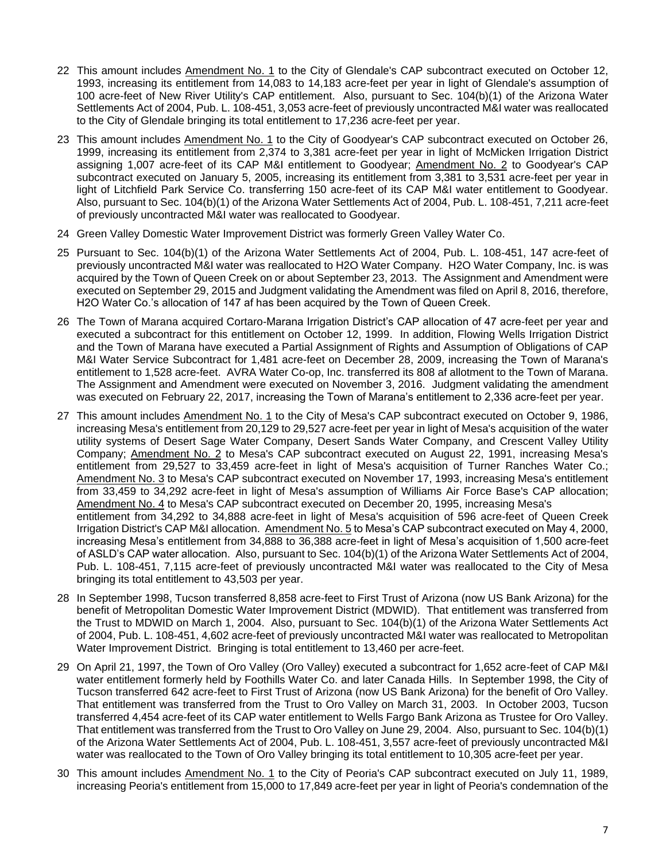- 22 This amount includes Amendment No. 1 to the City of Glendale's CAP subcontract executed on October 12, 1993, increasing its entitlement from 14,083 to 14,183 acre-feet per year in light of Glendale's assumption of 100 acre-feet of New River Utility's CAP entitlement. Also, pursuant to Sec. 104(b)(1) of the Arizona Water Settlements Act of 2004, Pub. L. 108-451, 3,053 acre-feet of previously uncontracted M&I water was reallocated to the City of Glendale bringing its total entitlement to 17,236 acre-feet per year.
- 23 This amount includes Amendment No. 1 to the City of Goodyear's CAP subcontract executed on October 26, 1999, increasing its entitlement from 2,374 to 3,381 acre-feet per year in light of McMicken Irrigation District assigning 1,007 acre-feet of its CAP M&I entitlement to Goodyear; Amendment No. 2 to Goodyear's CAP subcontract executed on January 5, 2005, increasing its entitlement from 3,381 to 3,531 acre-feet per year in light of Litchfield Park Service Co. transferring 150 acre-feet of its CAP M&I water entitlement to Goodyear. Also, pursuant to Sec. 104(b)(1) of the Arizona Water Settlements Act of 2004, Pub. L. 108-451, 7,211 acre-feet of previously uncontracted M&I water was reallocated to Goodyear.
- 24 Green Valley Domestic Water Improvement District was formerly Green Valley Water Co.
- 25 Pursuant to Sec. 104(b)(1) of the Arizona Water Settlements Act of 2004, Pub. L. 108-451, 147 acre-feet of previously uncontracted M&I water was reallocated to H2O Water Company. H2O Water Company, Inc. is was acquired by the Town of Queen Creek on or about September 23, 2013. The Assignment and Amendment were executed on September 29, 2015 and Judgment validating the Amendment was filed on April 8, 2016, therefore, H2O Water Co.'s allocation of 147 af has been acquired by the Town of Queen Creek.
- 26 The Town of Marana acquired Cortaro-Marana Irrigation District's CAP allocation of 47 acre-feet per year and executed a subcontract for this entitlement on October 12, 1999. In addition, Flowing Wells Irrigation District and the Town of Marana have executed a Partial Assignment of Rights and Assumption of Obligations of CAP M&I Water Service Subcontract for 1,481 acre-feet on December 28, 2009, increasing the Town of Marana's entitlement to 1,528 acre-feet. AVRA Water Co-op, Inc. transferred its 808 af allotment to the Town of Marana. The Assignment and Amendment were executed on November 3, 2016. Judgment validating the amendment was executed on February 22, 2017, increasing the Town of Marana's entitlement to 2,336 acre-feet per year.
- 27 This amount includes Amendment No. 1 to the City of Mesa's CAP subcontract executed on October 9, 1986, increasing Mesa's entitlement from 20,129 to 29,527 acre-feet per year in light of Mesa's acquisition of the water utility systems of Desert Sage Water Company, Desert Sands Water Company, and Crescent Valley Utility Company; Amendment No. 2 to Mesa's CAP subcontract executed on August 22, 1991, increasing Mesa's entitlement from 29,527 to 33,459 acre-feet in light of Mesa's acquisition of Turner Ranches Water Co.; Amendment No. 3 to Mesa's CAP subcontract executed on November 17, 1993, increasing Mesa's entitlement from 33,459 to 34,292 acre-feet in light of Mesa's assumption of Williams Air Force Base's CAP allocation; Amendment No. 4 to Mesa's CAP subcontract executed on December 20, 1995, increasing Mesa's entitlement from 34,292 to 34,888 acre-feet in light of Mesa's acquisition of 596 acre-feet of Queen Creek Irrigation District's CAP M&I allocation. Amendment No. 5 to Mesa's CAP subcontract executed on May 4, 2000, increasing Mesa's entitlement from 34,888 to 36,388 acre-feet in light of Mesa's acquisition of 1,500 acre-feet of ASLD's CAP water allocation. Also, pursuant to Sec. 104(b)(1) of the Arizona Water Settlements Act of 2004, Pub. L. 108-451, 7,115 acre-feet of previously uncontracted M&I water was reallocated to the City of Mesa bringing its total entitlement to 43,503 per year.
- 28 In September 1998, Tucson transferred 8,858 acre-feet to First Trust of Arizona (now US Bank Arizona) for the benefit of Metropolitan Domestic Water Improvement District (MDWID). That entitlement was transferred from the Trust to MDWID on March 1, 2004. Also, pursuant to Sec. 104(b)(1) of the Arizona Water Settlements Act of 2004, Pub. L. 108-451, 4,602 acre-feet of previously uncontracted M&I water was reallocated to Metropolitan Water Improvement District. Bringing is total entitlement to 13,460 per acre-feet.
- 29 On April 21, 1997, the Town of Oro Valley (Oro Valley) executed a subcontract for 1,652 acre-feet of CAP M&I water entitlement formerly held by Foothills Water Co. and later Canada Hills. In September 1998, the City of Tucson transferred 642 acre-feet to First Trust of Arizona (now US Bank Arizona) for the benefit of Oro Valley. That entitlement was transferred from the Trust to Oro Valley on March 31, 2003. In October 2003, Tucson transferred 4,454 acre-feet of its CAP water entitlement to Wells Fargo Bank Arizona as Trustee for Oro Valley. That entitlement was transferred from the Trust to Oro Valley on June 29, 2004. Also, pursuant to Sec. 104(b)(1) of the Arizona Water Settlements Act of 2004, Pub. L. 108-451, 3,557 acre-feet of previously uncontracted M&I water was reallocated to the Town of Oro Valley bringing its total entitlement to 10,305 acre-feet per year.
- 30 This amount includes Amendment No. 1 to the City of Peoria's CAP subcontract executed on July 11, 1989, increasing Peoria's entitlement from 15,000 to 17,849 acre-feet per year in light of Peoria's condemnation of the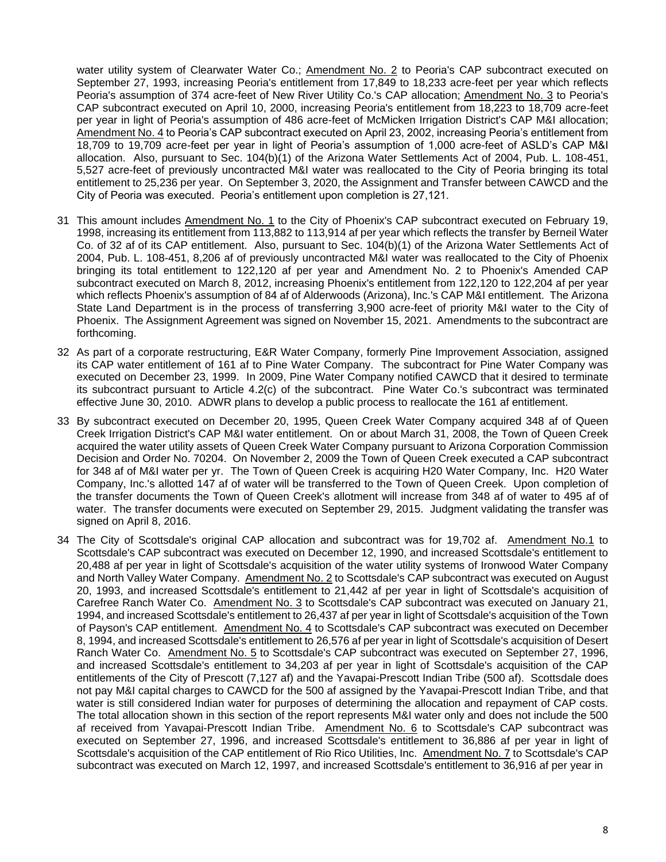water utility system of Clearwater Water Co.; Amendment No. 2 to Peoria's CAP subcontract executed on September 27, 1993, increasing Peoria's entitlement from 17,849 to 18,233 acre-feet per year which reflects Peoria's assumption of 374 acre-feet of New River Utility Co.'s CAP allocation; Amendment No. 3 to Peoria's CAP subcontract executed on April 10, 2000, increasing Peoria's entitlement from 18,223 to 18,709 acre-feet per year in light of Peoria's assumption of 486 acre-feet of McMicken Irrigation District's CAP M&I allocation; Amendment No. 4 to Peoria's CAP subcontract executed on April 23, 2002, increasing Peoria's entitlement from 18,709 to 19,709 acre-feet per year in light of Peoria's assumption of 1,000 acre-feet of ASLD's CAP M&I allocation. Also, pursuant to Sec. 104(b)(1) of the Arizona Water Settlements Act of 2004, Pub. L. 108-451, 5,527 acre-feet of previously uncontracted M&I water was reallocated to the City of Peoria bringing its total entitlement to 25,236 per year. On September 3, 2020, the Assignment and Transfer between CAWCD and the City of Peoria was executed. Peoria's entitlement upon completion is 27,121.

- 31 This amount includes Amendment No. 1 to the City of Phoenix's CAP subcontract executed on February 19, 1998, increasing its entitlement from 113,882 to 113,914 af per year which reflects the transfer by Berneil Water Co. of 32 af of its CAP entitlement. Also, pursuant to Sec. 104(b)(1) of the Arizona Water Settlements Act of 2004, Pub. L. 108-451, 8,206 af of previously uncontracted M&I water was reallocated to the City of Phoenix bringing its total entitlement to 122,120 af per year and Amendment No. 2 to Phoenix's Amended CAP subcontract executed on March 8, 2012, increasing Phoenix's entitlement from 122,120 to 122,204 af per year which reflects Phoenix's assumption of 84 af of Alderwoods (Arizona), Inc.'s CAP M&I entitlement. The Arizona State Land Department is in the process of transferring 3,900 acre-feet of priority M&I water to the City of Phoenix. The Assignment Agreement was signed on November 15, 2021. Amendments to the subcontract are forthcoming.
- 32 As part of a corporate restructuring, E&R Water Company, formerly Pine Improvement Association, assigned its CAP water entitlement of 161 af to Pine Water Company. The subcontract for Pine Water Company was executed on December 23, 1999. In 2009, Pine Water Company notified CAWCD that it desired to terminate its subcontract pursuant to Article 4.2(c) of the subcontract. Pine Water Co.'s subcontract was terminated effective June 30, 2010. ADWR plans to develop a public process to reallocate the 161 af entitlement.
- 33 By subcontract executed on December 20, 1995, Queen Creek Water Company acquired 348 af of Queen Creek Irrigation District's CAP M&I water entitlement. On or about March 31, 2008, the Town of Queen Creek acquired the water utility assets of Queen Creek Water Company pursuant to Arizona Corporation Commission Decision and Order No. 70204. On November 2, 2009 the Town of Queen Creek executed a CAP subcontract for 348 af of M&I water per yr. The Town of Queen Creek is acquiring H20 Water Company, Inc. H20 Water Company, Inc.'s allotted 147 af of water will be transferred to the Town of Queen Creek. Upon completion of the transfer documents the Town of Queen Creek's allotment will increase from 348 af of water to 495 af of water. The transfer documents were executed on September 29, 2015. Judgment validating the transfer was signed on April 8, 2016.
- 34 The City of Scottsdale's original CAP allocation and subcontract was for 19,702 af. Amendment No.1 to Scottsdale's CAP subcontract was executed on December 12, 1990, and increased Scottsdale's entitlement to 20,488 af per year in light of Scottsdale's acquisition of the water utility systems of Ironwood Water Company and North Valley Water Company. Amendment No. 2 to Scottsdale's CAP subcontract was executed on August 20, 1993, and increased Scottsdale's entitlement to 21,442 af per year in light of Scottsdale's acquisition of Carefree Ranch Water Co. Amendment No. 3 to Scottsdale's CAP subcontract was executed on January 21, 1994, and increased Scottsdale's entitlement to 26,437 af per year in light of Scottsdale's acquisition of the Town of Payson's CAP entitlement. Amendment No. 4 to Scottsdale's CAP subcontract was executed on December 8, 1994, and increased Scottsdale's entitlement to 26,576 af per year in light of Scottsdale's acquisition of Desert Ranch Water Co. Amendment No. 5 to Scottsdale's CAP subcontract was executed on September 27, 1996, and increased Scottsdale's entitlement to 34,203 af per year in light of Scottsdale's acquisition of the CAP entitlements of the City of Prescott (7,127 af) and the Yavapai-Prescott Indian Tribe (500 af). Scottsdale does not pay M&I capital charges to CAWCD for the 500 af assigned by the Yavapai-Prescott Indian Tribe, and that water is still considered Indian water for purposes of determining the allocation and repayment of CAP costs. The total allocation shown in this section of the report represents M&I water only and does not include the 500 af received from Yavapai-Prescott Indian Tribe. Amendment No. 6 to Scottsdale's CAP subcontract was executed on September 27, 1996, and increased Scottsdale's entitlement to 36,886 af per year in light of Scottsdale's acquisition of the CAP entitlement of Rio Rico Utilities, Inc. Amendment No. 7 to Scottsdale's CAP subcontract was executed on March 12, 1997, and increased Scottsdale's entitlement to 36,916 af per year in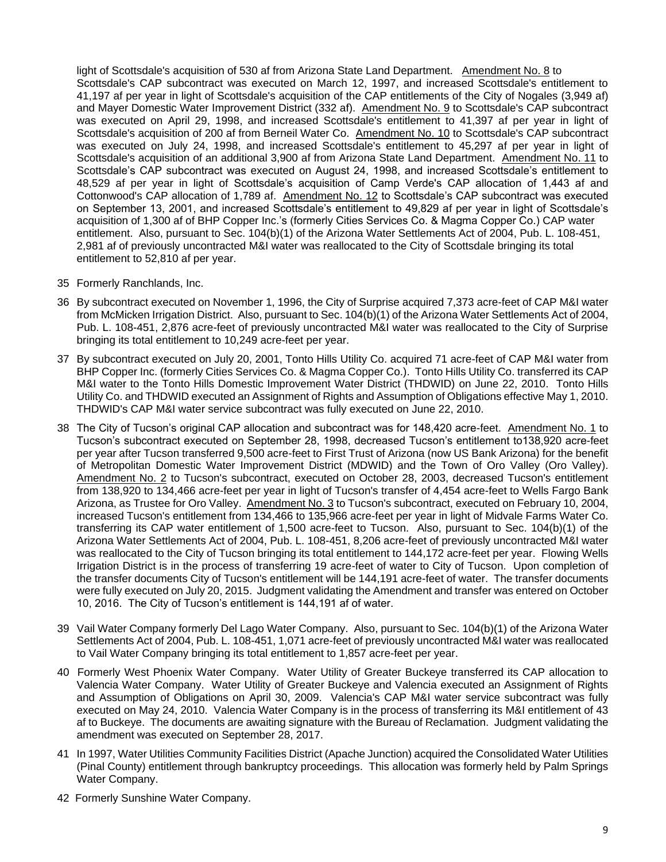light of Scottsdale's acquisition of 530 af from Arizona State Land Department. Amendment No. 8 to Scottsdale's CAP subcontract was executed on March 12, 1997, and increased Scottsdale's entitlement to 41,197 af per year in light of Scottsdale's acquisition of the CAP entitlements of the City of Nogales (3,949 af) and Mayer Domestic Water Improvement District (332 af). Amendment No. 9 to Scottsdale's CAP subcontract was executed on April 29, 1998, and increased Scottsdale's entitlement to 41,397 af per year in light of Scottsdale's acquisition of 200 af from Berneil Water Co. Amendment No. 10 to Scottsdale's CAP subcontract was executed on July 24, 1998, and increased Scottsdale's entitlement to 45,297 af per year in light of Scottsdale's acquisition of an additional 3,900 af from Arizona State Land Department. Amendment No. 11 to Scottsdale's CAP subcontract was executed on August 24, 1998, and increased Scottsdale's entitlement to 48,529 af per year in light of Scottsdale's acquisition of Camp Verde's CAP allocation of 1,443 af and Cottonwood's CAP allocation of 1,789 af. Amendment No. 12 to Scottsdale's CAP subcontract was executed on September 13, 2001, and increased Scottsdale's entitlement to 49,829 af per year in light of Scottsdale's acquisition of 1,300 af of BHP Copper Inc.'s (formerly Cities Services Co. & Magma Copper Co.) CAP water entitlement. Also, pursuant to Sec. 104(b)(1) of the Arizona Water Settlements Act of 2004, Pub. L. 108-451, 2,981 af of previously uncontracted M&I water was reallocated to the City of Scottsdale bringing its total entitlement to 52,810 af per year.

- 35 Formerly Ranchlands, Inc.
- 36 By subcontract executed on November 1, 1996, the City of Surprise acquired 7,373 acre-feet of CAP M&I water from McMicken Irrigation District. Also, pursuant to Sec. 104(b)(1) of the Arizona Water Settlements Act of 2004, Pub. L. 108-451, 2,876 acre-feet of previously uncontracted M&I water was reallocated to the City of Surprise bringing its total entitlement to 10,249 acre-feet per year.
- 37 By subcontract executed on July 20, 2001, Tonto Hills Utility Co. acquired 71 acre-feet of CAP M&I water from BHP Copper Inc. (formerly Cities Services Co. & Magma Copper Co.). Tonto Hills Utility Co. transferred its CAP M&I water to the Tonto Hills Domestic Improvement Water District (THDWID) on June 22, 2010. Tonto Hills Utility Co. and THDWID executed an Assignment of Rights and Assumption of Obligations effective May 1, 2010. THDWID's CAP M&I water service subcontract was fully executed on June 22, 2010.
- 38 The City of Tucson's original CAP allocation and subcontract was for 148,420 acre-feet. Amendment No. 1 to Tucson's subcontract executed on September 28, 1998, decreased Tucson's entitlement to138,920 acre-feet per year after Tucson transferred 9,500 acre-feet to First Trust of Arizona (now US Bank Arizona) for the benefit of Metropolitan Domestic Water Improvement District (MDWID) and the Town of Oro Valley (Oro Valley). Amendment No. 2 to Tucson's subcontract, executed on October 28, 2003, decreased Tucson's entitlement from 138,920 to 134,466 acre-feet per year in light of Tucson's transfer of 4,454 acre-feet to Wells Fargo Bank Arizona, as Trustee for Oro Valley. Amendment No. 3 to Tucson's subcontract, executed on February 10, 2004, increased Tucson's entitlement from 134,466 to 135,966 acre-feet per year in light of Midvale Farms Water Co. transferring its CAP water entitlement of 1,500 acre-feet to Tucson. Also, pursuant to Sec. 104(b)(1) of the Arizona Water Settlements Act of 2004, Pub. L. 108-451, 8,206 acre-feet of previously uncontracted M&I water was reallocated to the City of Tucson bringing its total entitlement to 144,172 acre-feet per year. Flowing Wells Irrigation District is in the process of transferring 19 acre-feet of water to City of Tucson. Upon completion of the transfer documents City of Tucson's entitlement will be 144,191 acre-feet of water. The transfer documents were fully executed on July 20, 2015. Judgment validating the Amendment and transfer was entered on October 10, 2016. The City of Tucson's entitlement is 144,191 af of water.
- 39 Vail Water Company formerly Del Lago Water Company. Also, pursuant to Sec. 104(b)(1) of the Arizona Water Settlements Act of 2004, Pub. L. 108-451, 1,071 acre-feet of previously uncontracted M&I water was reallocated to Vail Water Company bringing its total entitlement to 1,857 acre-feet per year.
- 40 Formerly West Phoenix Water Company. Water Utility of Greater Buckeye transferred its CAP allocation to Valencia Water Company. Water Utility of Greater Buckeye and Valencia executed an Assignment of Rights and Assumption of Obligations on April 30, 2009. Valencia's CAP M&I water service subcontract was fully executed on May 24, 2010. Valencia Water Company is in the process of transferring its M&I entitlement of 43 af to Buckeye. The documents are awaiting signature with the Bureau of Reclamation. Judgment validating the amendment was executed on September 28, 2017.
- 41 In 1997, Water Utilities Community Facilities District (Apache Junction) acquired the Consolidated Water Utilities (Pinal County) entitlement through bankruptcy proceedings. This allocation was formerly held by Palm Springs Water Company.
- 42 Formerly Sunshine Water Company.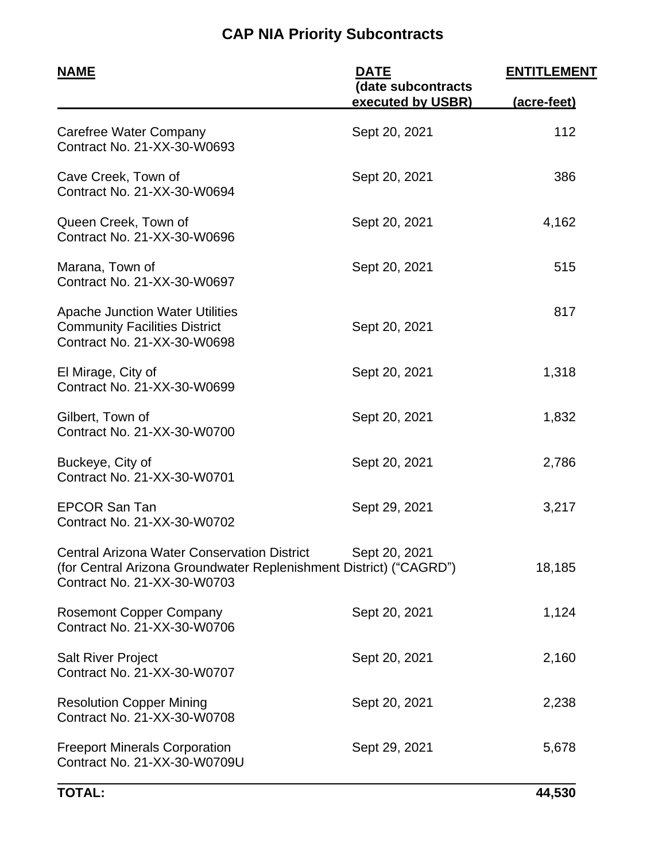# **CAP NIA Priority Subcontracts**

| <u>NAME</u>                                                                                                                                             | <b>DATE</b>                             | <b>ENTITLEMENT</b> |  |
|---------------------------------------------------------------------------------------------------------------------------------------------------------|-----------------------------------------|--------------------|--|
|                                                                                                                                                         | (date subcontracts<br>executed by USBR) | (acre-feet)        |  |
| Carefree Water Company<br>Contract No. 21-XX-30-W0693                                                                                                   | Sept 20, 2021                           | 112                |  |
| Cave Creek, Town of<br>Contract No. 21-XX-30-W0694                                                                                                      | Sept 20, 2021                           | 386                |  |
| Queen Creek, Town of<br>Contract No. 21-XX-30-W0696                                                                                                     | Sept 20, 2021                           | 4,162              |  |
| Marana, Town of<br>Contract No. 21-XX-30-W0697                                                                                                          | Sept 20, 2021                           | 515                |  |
| <b>Apache Junction Water Utilities</b><br><b>Community Facilities District</b><br>Contract No. 21-XX-30-W0698                                           | Sept 20, 2021                           | 817                |  |
| El Mirage, City of<br>Contract No. 21-XX-30-W0699                                                                                                       | Sept 20, 2021                           | 1,318              |  |
| Gilbert, Town of<br>Contract No. 21-XX-30-W0700                                                                                                         | Sept 20, 2021                           | 1,832              |  |
| Buckeye, City of<br>Contract No. 21-XX-30-W0701                                                                                                         | Sept 20, 2021                           | 2,786              |  |
| <b>EPCOR San Tan</b><br>Contract No. 21-XX-30-W0702                                                                                                     | Sept 29, 2021                           | 3,217              |  |
| <b>Central Arizona Water Conservation District</b><br>(for Central Arizona Groundwater Replenishment District) ("CAGRD")<br>Contract No. 21-XX-30-W0703 | Sept 20, 2021                           | 18,185             |  |
| <b>Rosemont Copper Company</b><br>Contract No. 21-XX-30-W0706                                                                                           | Sept 20, 2021                           | 1,124              |  |
| <b>Salt River Project</b><br>Contract No. 21-XX-30-W0707                                                                                                | Sept 20, 2021                           | 2,160              |  |
| <b>Resolution Copper Mining</b><br>Contract No. 21-XX-30-W0708                                                                                          | Sept 20, 2021                           | 2,238              |  |
| <b>Freeport Minerals Corporation</b><br>Contract No. 21-XX-30-W0709U                                                                                    | Sept 29, 2021                           | 5,678              |  |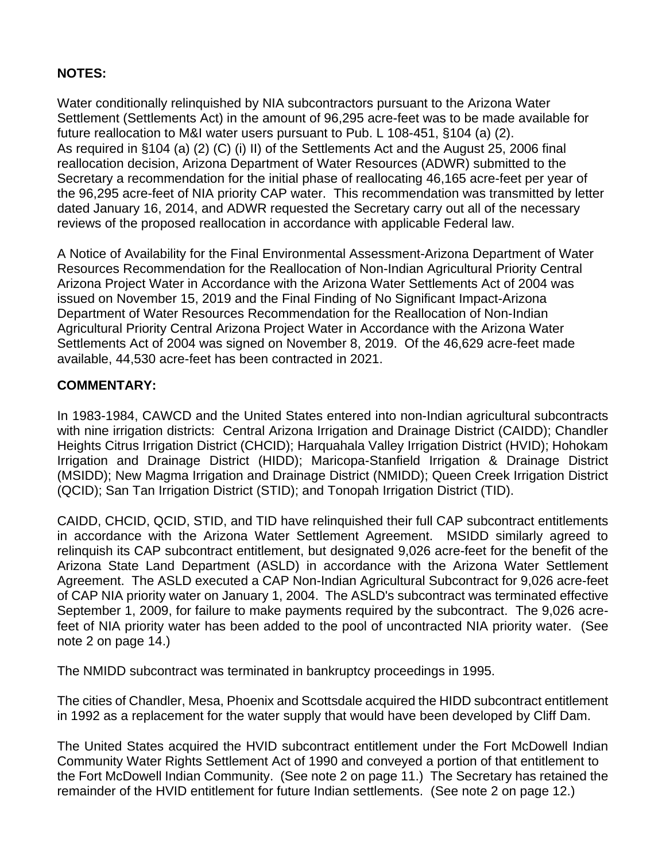### **NOTES:**

Water conditionally relinquished by NIA subcontractors pursuant to the Arizona Water Settlement (Settlements Act) in the amount of 96,295 acre-feet was to be made available for future reallocation to M&I water users pursuant to Pub. L 108-451, §104 (a) (2). As required in §104 (a) (2) (C) (i) II) of the Settlements Act and the August 25, 2006 final reallocation decision, Arizona Department of Water Resources (ADWR) submitted to the Secretary a recommendation for the initial phase of reallocating 46,165 acre-feet per year of the 96,295 acre-feet of NIA priority CAP water. This recommendation was transmitted by letter dated January 16, 2014, and ADWR requested the Secretary carry out all of the necessary reviews of the proposed reallocation in accordance with applicable Federal law.

A Notice of Availability for the Final Environmental Assessment-Arizona Department of Water Resources Recommendation for the Reallocation of Non-Indian Agricultural Priority Central Arizona Project Water in Accordance with the Arizona Water Settlements Act of 2004 was issued on November 15, 2019 and the Final Finding of No Significant Impact-Arizona Department of Water Resources Recommendation for the Reallocation of Non-Indian Agricultural Priority Central Arizona Project Water in Accordance with the Arizona Water Settlements Act of 2004 was signed on November 8, 2019. Of the 46,629 acre-feet made available, 44,530 acre-feet has been contracted in 2021.

### **COMMENTARY:**

In 1983-1984, CAWCD and the United States entered into non-Indian agricultural subcontracts with nine irrigation districts: Central Arizona Irrigation and Drainage District (CAIDD); Chandler Heights Citrus Irrigation District (CHCID); Harquahala Valley Irrigation District (HVID); Hohokam Irrigation and Drainage District (HIDD); Maricopa-Stanfield Irrigation & Drainage District (MSIDD); New Magma Irrigation and Drainage District (NMIDD); Queen Creek Irrigation District (QCID); San Tan Irrigation District (STID); and Tonopah Irrigation District (TID).

CAIDD, CHCID, QCID, STID, and TID have relinquished their full CAP subcontract entitlements in accordance with the Arizona Water Settlement Agreement. MSIDD similarly agreed to relinquish its CAP subcontract entitlement, but designated 9,026 acre-feet for the benefit of the Arizona State Land Department (ASLD) in accordance with the Arizona Water Settlement Agreement. The ASLD executed a CAP Non-Indian Agricultural Subcontract for 9,026 acre-feet of CAP NIA priority water on January 1, 2004. The ASLD's subcontract was terminated effective September 1, 2009, for failure to make payments required by the subcontract. The 9,026 acrefeet of NIA priority water has been added to the pool of uncontracted NIA priority water. (See note 2 on page 14.)

The NMIDD subcontract was terminated in bankruptcy proceedings in 1995.

The cities of Chandler, Mesa, Phoenix and Scottsdale acquired the HIDD subcontract entitlement in 1992 as a replacement for the water supply that would have been developed by Cliff Dam.

The United States acquired the HVID subcontract entitlement under the Fort McDowell Indian Community Water Rights Settlement Act of 1990 and conveyed a portion of that entitlement to the Fort McDowell Indian Community. (See note 2 on page 11.) The Secretary has retained the remainder of the HVID entitlement for future Indian settlements. (See note 2 on page 12.)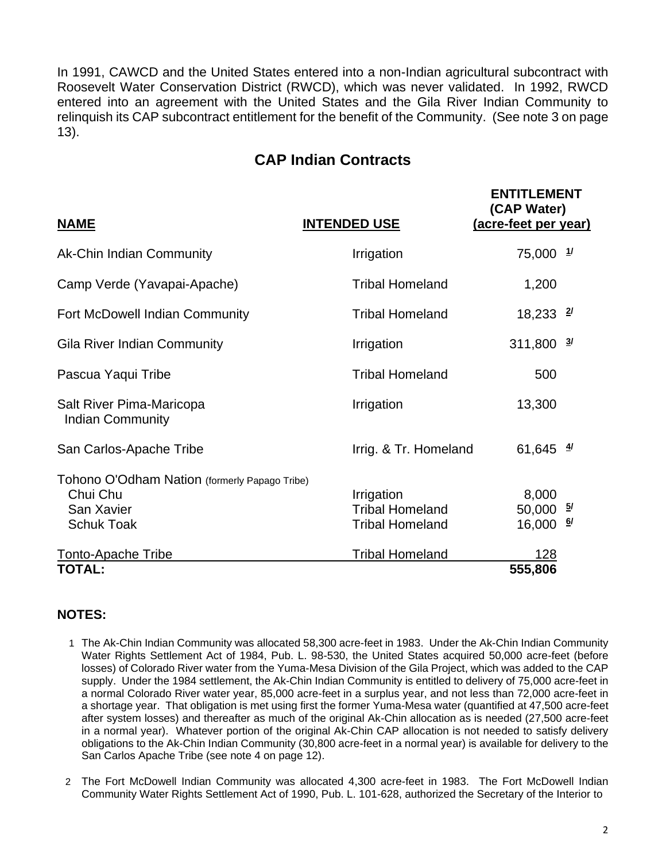In 1991, CAWCD and the United States entered into a non-Indian agricultural subcontract with Roosevelt Water Conservation District (RWCD), which was never validated. In 1992, RWCD entered into an agreement with the United States and the Gila River Indian Community to relinquish its CAP subcontract entitlement for the benefit of the Community. (See note 3 on page 13).

# **CAP Indian Contracts**

| <b>NAME</b>                                                                                  | <b>INTENDED USE</b>                                            | <b>ENTITLEMENT</b><br>(CAP Water)<br>(acre-feet per year) |  |
|----------------------------------------------------------------------------------------------|----------------------------------------------------------------|-----------------------------------------------------------|--|
| <b>Ak-Chin Indian Community</b>                                                              | Irrigation                                                     | $75,000$ $1/$                                             |  |
| Camp Verde (Yavapai-Apache)                                                                  | <b>Tribal Homeland</b>                                         | 1,200                                                     |  |
| Fort McDowell Indian Community                                                               | <b>Tribal Homeland</b>                                         | $18,233$ $27$                                             |  |
| <b>Gila River Indian Community</b>                                                           | Irrigation                                                     | $311,800$ $\frac{3}{1}$                                   |  |
| Pascua Yaqui Tribe                                                                           | <b>Tribal Homeland</b>                                         | 500                                                       |  |
| Salt River Pima-Maricopa<br><b>Indian Community</b>                                          | Irrigation                                                     | 13,300                                                    |  |
| San Carlos-Apache Tribe                                                                      | Irrig. & Tr. Homeland                                          | 61,645 $\frac{4}{3}$                                      |  |
| Tohono O'Odham Nation (formerly Papago Tribe)<br>Chui Chu<br>San Xavier<br><b>Schuk Toak</b> | Irrigation<br><b>Tribal Homeland</b><br><b>Tribal Homeland</b> | 8,000<br>$50,000$ $\frac{5}{1}$<br>16,000 $\frac{6}{1}$   |  |
| <b>Tonto-Apache Tribe</b>                                                                    | <b>Tribal Homeland</b>                                         | 128                                                       |  |
| TOTAL:                                                                                       |                                                                | 555,806                                                   |  |

- 1 The Ak-Chin Indian Community was allocated 58,300 acre-feet in 1983. Under the Ak-Chin Indian Community Water Rights Settlement Act of 1984, Pub. L. 98-530, the United States acquired 50,000 acre-feet (before losses) of Colorado River water from the Yuma-Mesa Division of the Gila Project, which was added to the CAP supply. Under the 1984 settlement, the Ak-Chin Indian Community is entitled to delivery of 75,000 acre-feet in a normal Colorado River water year, 85,000 acre-feet in a surplus year, and not less than 72,000 acre-feet in a shortage year. That obligation is met using first the former Yuma-Mesa water (quantified at 47,500 acre-feet after system losses) and thereafter as much of the original Ak-Chin allocation as is needed (27,500 acre-feet in a normal year). Whatever portion of the original Ak-Chin CAP allocation is not needed to satisfy delivery obligations to the Ak-Chin Indian Community (30,800 acre-feet in a normal year) is available for delivery to the San Carlos Apache Tribe (see note 4 on page 12).
- 2 The Fort McDowell Indian Community was allocated 4,300 acre-feet in 1983. The Fort McDowell Indian Community Water Rights Settlement Act of 1990, Pub. L. 101-628, authorized the Secretary of the Interior to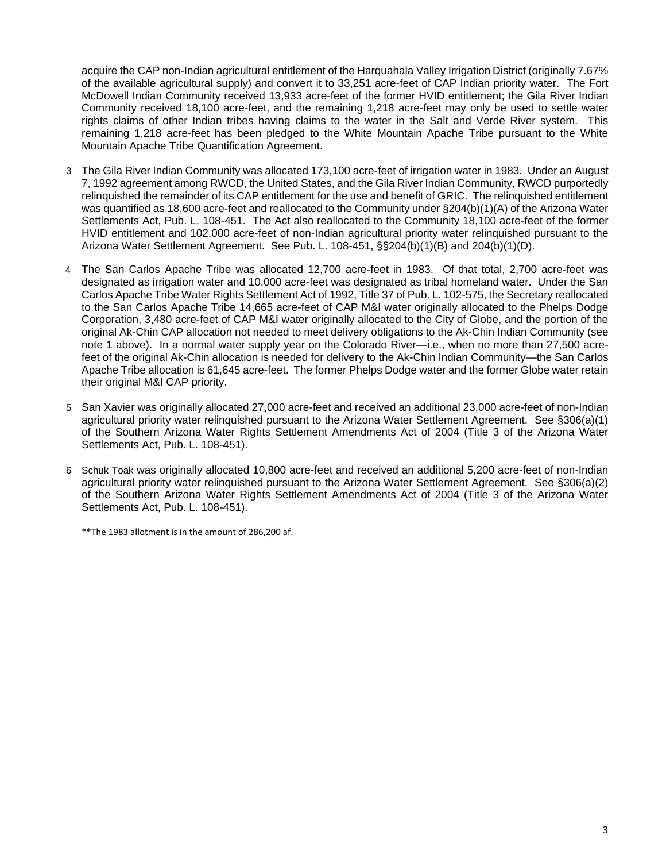acquire the CAP non-Indian agricultural entitlement of the Harquahala Valley Irrigation District (originally 7.67% of the available agricultural supply) and convert it to 33,251 acre-feet of CAP Indian priority water. The Fort McDowell Indian Community received 13,933 acre-feet of the former HVID entitlement; the Gila River Indian Community received 18,100 acre-feet, and the remaining 1,218 acre-feet may only be used to settle water rights claims of other Indian tribes having claims to the water in the Salt and Verde River system. This remaining 1,218 acre-feet has been pledged to the White Mountain Apache Tribe pursuant to the White Mountain Apache Tribe Quantification Agreement.

- 3 The Gila River Indian Community was allocated 173,100 acre-feet of irrigation water in 1983. Under an August 7, 1992 agreement among RWCD, the United States, and the Gila River Indian Community, RWCD purportedly relinquished the remainder of its CAP entitlement for the use and benefit of GRIC. The relinquished entitlement was quantified as 18,600 acre-feet and reallocated to the Community under §204(b)(1)(A) of the Arizona Water Settlements Act, Pub. L. 108-451. The Act also reallocated to the Community 18,100 acre-feet of the former HVID entitlement and 102,000 acre-feet of non-Indian agricultural priority water relinquished pursuant to the Arizona Water Settlement Agreement. See Pub. L. 108-451, §§204(b)(1)(B) and 204(b)(1)(D).
- 4 The San Carlos Apache Tribe was allocated 12,700 acre-feet in 1983. Of that total, 2,700 acre-feet was designated as irrigation water and 10,000 acre-feet was designated as tribal homeland water. Under the San Carlos Apache Tribe Water Rights Settlement Act of 1992, Title 37 of Pub. L. 102-575, the Secretary reallocated to the San Carlos Apache Tribe 14,665 acre-feet of CAP M&I water originally allocated to the Phelps Dodge Corporation, 3,480 acre-feet of CAP M&I water originally allocated to the City of Globe, and the portion of the original Ak-Chin CAP allocation not needed to meet delivery obligations to the Ak-Chin Indian Community (see note 1 above). In a normal water supply year on the Colorado River—i.e., when no more than 27,500 acrefeet of the original Ak-Chin allocation is needed for delivery to the Ak-Chin Indian Community—the San Carlos Apache Tribe allocation is 61,645 acre-feet. The former Phelps Dodge water and the former Globe water retain their original M&I CAP priority.
- 5 San Xavier was originally allocated 27,000 acre-feet and received an additional 23,000 acre-feet of non-Indian agricultural priority water relinquished pursuant to the Arizona Water Settlement Agreement. See §306(a)(1) of the Southern Arizona Water Rights Settlement Amendments Act of 2004 (Title 3 of the Arizona Water Settlements Act, Pub. L. 108-451).
- 6 Schuk Toak was originally allocated 10,800 acre-feet and received an additional 5,200 acre-feet of non-Indian agricultural priority water relinquished pursuant to the Arizona Water Settlement Agreement. See §306(a)(2) of the Southern Arizona Water Rights Settlement Amendments Act of 2004 (Title 3 of the Arizona Water Settlements Act, Pub. L. 108-451).

\*\*The 1983 allotment is in the amount of 286,200 af.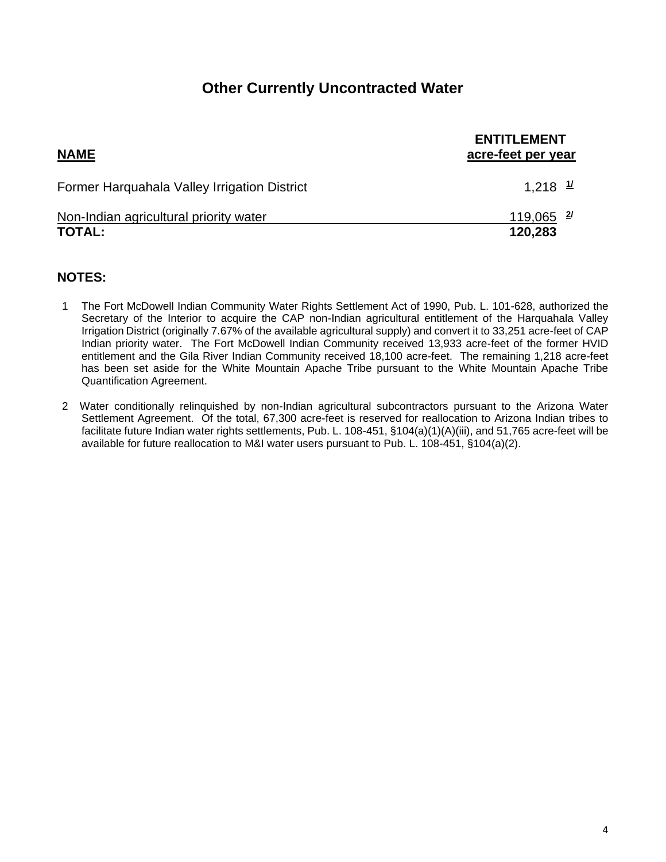## **Other Currently Uncontracted Water**

| <b>NAME</b>                                             | <b>ENTITLEMENT</b><br>acre-feet per year |
|---------------------------------------------------------|------------------------------------------|
| Former Harquahala Valley Irrigation District            | 1,218 $\frac{1}{2}$                      |
| Non-Indian agricultural priority water<br><b>TOTAL:</b> | $119,065$ <sup>2/</sup><br>120,283       |

- 1 The Fort McDowell Indian Community Water Rights Settlement Act of 1990, Pub. L. 101-628, authorized the Secretary of the Interior to acquire the CAP non-Indian agricultural entitlement of the Harquahala Valley Irrigation District (originally 7.67% of the available agricultural supply) and convert it to 33,251 acre-feet of CAP Indian priority water. The Fort McDowell Indian Community received 13,933 acre-feet of the former HVID entitlement and the Gila River Indian Community received 18,100 acre-feet. The remaining 1,218 acre-feet has been set aside for the White Mountain Apache Tribe pursuant to the White Mountain Apache Tribe Quantification Agreement.
- 2 Water conditionally relinquished by non-Indian agricultural subcontractors pursuant to the Arizona Water Settlement Agreement. Of the total, 67,300 acre-feet is reserved for reallocation to Arizona Indian tribes to facilitate future Indian water rights settlements, Pub. L. 108-451, §104(a)(1)(A)(iii), and 51,765 acre-feet will be available for future reallocation to M&I water users pursuant to Pub. L. 108-451, §104(a)(2).